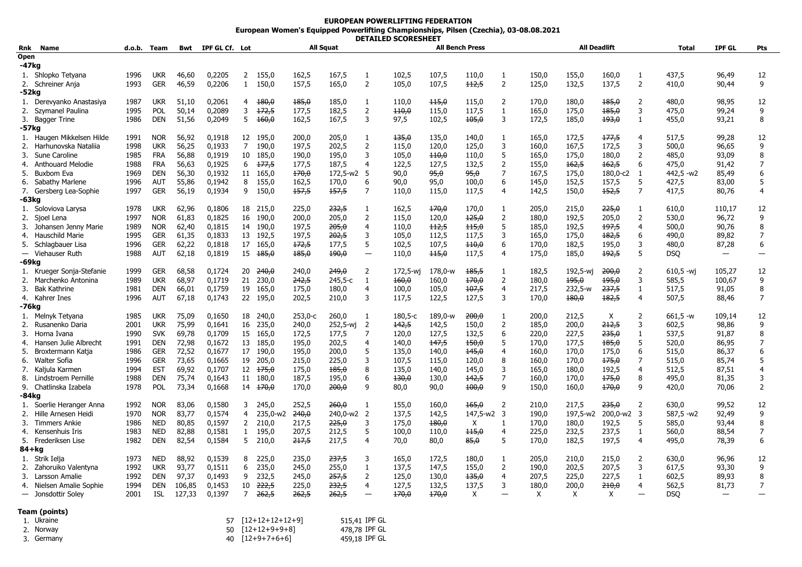## **EUROPEAN POWERLIFTING FEDERATION European Women's Equipped Powerlifting Championships, Pilsen (Czechia), 03-08.08.2021 DETAILED SCORESHEET**

| Rnk       | Name                      | d.o.b. | Team       |                  | Bwt IPF GL Cf. Lot |                |              | <b>All Squat</b> |                  |                          |            | <b>All Bench Press</b> |                  |                |            | <b>All Deadlift</b> |            |                         | <b>Total</b> | <b>IPF GL</b> | <b>Pts</b>     |
|-----------|---------------------------|--------|------------|------------------|--------------------|----------------|--------------|------------------|------------------|--------------------------|------------|------------------------|------------------|----------------|------------|---------------------|------------|-------------------------|--------------|---------------|----------------|
| Open      |                           |        |            |                  |                    |                |              |                  |                  |                          |            |                        |                  |                |            |                     |            |                         |              |               |                |
| -47kg     |                           |        |            |                  |                    |                |              |                  |                  |                          |            |                        |                  |                |            |                     |            |                         |              |               |                |
|           | 1. Shlopko Tetyana        | 1996   | <b>UKR</b> | 46,60            | 0,2205             | $\overline{2}$ | 155,0        | 162,5            | 167,5            | $\mathbf{1}$             | 102,5      | 107,5                  | 110,0            | 1              | 150,0      | 155,0               | 160,0      | 1                       | 437,5        | 96,49         | 12             |
|           | 2. Schreiner Anja         | 1993   | <b>GER</b> | 46,59            | 0,2206             | $\mathbf{1}$   | 150,0        | 157,5            | 165,0            | $\overline{2}$           | 105,0      | 107,5                  | $+12,5$          | 2              | 125,0      | 132,5               | 137,5      | $\overline{2}$          | 410,0        | 90,44         | 9              |
| -52kg     |                           |        |            |                  |                    |                |              |                  |                  |                          |            |                        |                  |                |            |                     |            |                         |              |               |                |
|           | 1. Derevyanko Anastasiya  | 1987   | <b>UKR</b> | 51,10            | 0,2061             | 4              | 180,0        | 185,0            | 185,0            | 1                        | 110,0      | 115,0                  | 115,0            | 2              | 170,0      | 180,0               | 185,0      | 2                       | 480,0        | 98,95         | 12             |
| 2.        | Szymanel Paulina          | 1995   | <b>POL</b> | 50,14            | 0,2089             | 3              | 172,5        | 177,5            | 182,5            | 2                        | 110,0      | 115,0                  | 117,5            | 1              | 165,0      | 175,0               | 185,0      | 3                       | 475,0        | 99,24         | 9              |
|           | 3. Bagger Trine           | 1986   | <b>DEN</b> | 51,56            | 0,2049             | 5              | 160,0        | 162,5            | 167,5            | 3                        | 97,5       | 102,5                  | 105,0            | 3              | 172,5      | 185,0               | 193,0      | $\mathbf{1}$            | 455,0        | 93,21         | 8              |
| -57kg     |                           |        |            |                  |                    |                |              |                  |                  |                          |            |                        |                  |                |            |                     |            |                         |              |               |                |
|           | 1. Haugen Mikkelsen Hilde | 1991   | <b>NOR</b> | 56,92            | 0,1918             | 12             | 195,0        | 200,0            | 205,0            | 1                        | 135,0      | 135,0                  | 140,0            | 1              | 165,0      | 172,5               | 177,5      | 4                       | 517,5        | 99,28         | 12             |
| 2.        | Harhunovska Natalija      | 1998   | <b>UKR</b> | 56,25            | 0,1933             | $\overline{7}$ | 190,0        | 197,5            | 202,5            | $\overline{2}$           | 115,0      | 120,0                  | 125,0            | 3              | 160,0      | 167,5               | 172,5      | 3                       | 500.0        | 96,65         | 9              |
| 3.        | Sune Caroline             | 1985   | <b>FRA</b> | 56,88            | 0,1919             | 10             | 185,0        | 190,0            | 195,0            | 3                        | 105,0      | $+10,0$                | 110,0            | 5              | 165,0      | 175,0               | 180,0      | $\overline{2}$          | 485,0        | 93,09         | 8              |
|           |                           | 1988   | <b>FRA</b> | 56,63            | 0,1925             | 6              | 177,5        | 177,5            | 187,5            | 4                        | 122,5      | 127,5                  | 132,5            | $\overline{2}$ | 155,0      | 162,5               | 162,5      | 6                       |              |               | 7              |
|           | 4. Anthouard Melodie      |        |            |                  |                    |                |              |                  |                  |                          |            |                        |                  | $\overline{7}$ |            |                     |            |                         | 475,0        | 91,42         |                |
| 5.        | Buxbom Eva                | 1969   | <b>DEN</b> | 56,30            | 0,1932             | 11             | 165,0        | 170,0            | 172,5-w2 5       |                          | 90,0       | 95,0                   | 95,0             |                | 167,5      | 175,0               | 180,0-c2   | 1                       | 442,5 -w2    | 85,49         | 6              |
| 6.        | Sabathy Marlene           | 1996   | AUT        | 55,86            | 0,1942             | 8              | 155,0        | 162,5            | 170,0            | 6                        | 90,0       | 95,0                   | 100,0            | 6              | 145,0      | 152,5               | 157,5      | 5                       | 427,5        | 83,00         | 5              |
|           | 7. Gersberg Lea-Sophie    | 1997   | <b>GER</b> | 56,19            | 0,1934             | 9              | 150,0        | 157,5            | 157,5            | $\overline{7}$           | 110,0      | 115,0                  | 117,5            | $\overline{4}$ | 142,5      | 150,0               | 152,5      | 7                       | 417,5        | 80,76         | $\overline{a}$ |
| -63kg     |                           |        |            |                  |                    |                |              |                  |                  |                          |            |                        |                  |                |            |                     |            |                         |              |               |                |
|           | 1. Soloviova Larysa       | 1978   | <b>UKR</b> | 62,96            | 0,1806             |                | 18 215,0     | 225,0            | 232,5            | 1                        | 162,5      | 170,0                  | 170,0            | 1              | 205,0      | 215,0               | 225,0      | 1                       | 610,0        | 110,17        | 12             |
| 2.        | Sioel Lena                | 1997   | <b>NOR</b> | 61,83            | 0,1825             | 16             | 190.0        | 200,0            | 205,0            | $\overline{2}$           | 115,0      | 120,0                  | 125,0            | $\overline{2}$ | 180,0      | 192,5               | 205,0      | $\overline{2}$          | 530.0        | 96,72         | 9              |
| 3.        | Johansen Jenny Marie      | 1989   | <b>NOR</b> | 62,40            | 0,1815             | 14             | 190,0        | 197,5            | 205,0            | 4                        | 110,0      | $+12,5$                | 115,0            | 5              | 185,0      | 192,5               | 197,5      | $\overline{4}$          | 500,0        | 90,76         | 8              |
| 4.        | Hauschild Marie           | 1995   | <b>GER</b> | 61,35            | 0,1833             |                | 13 192,5     | 197,5            | 202,5            | 3                        | 105,0      | 112,5                  | 117,5            | 3              | 165,0      | 175,0               | 182,5      | 6                       | 490.0        | 89,82         | $\overline{7}$ |
|           | 5. Schlagbauer Lisa       | 1996   | <b>GER</b> | 62,22            | 0,1818             |                | 17 165,0     | 172,5            | 177,5            | 5                        | 102,5      | 107,5                  | 440,0            | 6              | 170,0      | 182,5               | 195,0      | 3                       | 480,0        | 87,28         | 6              |
|           | - Viehauser Ruth          | 1988   | AUT        | 62,18            | 0,1819             |                | $15 + 185,0$ | 185,0            | 490,0            | $\qquad \qquad -$        | 110,0      | 115,0                  | 117,5            | $\overline{4}$ | 175,0      | 185,0               | 192,5      | 5                       | <b>DSQ</b>   |               |                |
| -69kg     |                           |        |            |                  |                    |                |              |                  |                  |                          |            |                        |                  |                |            |                     |            |                         |              |               |                |
|           | 1. Krueger Sonja-Stefanie | 1999   | GER        | 68,58            | 0,1724             | 20             | -240,0       | 240,0            | <del>249,0</del> | 2                        | 172,5-wi   | 178,0-w                | 185,5            | -1             | 182,5      | 192,5-wi            | 200,0      | 2                       | $610,5 -wi$  | 105,27        | 12             |
|           | 2. Marchenko Antonina     | 1989   | <b>UKR</b> | 68,97            | 0,1719             | 21             | 230,0        | 242,5            | 245,5-c          | $\mathbf{1}$             | 460,0      | 160,0                  | 170,0            | $\overline{2}$ | 180,0      | 195,0               | 195,0      | 3                       | 585,5        | 100,67        | 9              |
| 3.        | Bak Kathrine              | 1981   | <b>DEN</b> | 66,01            | 0,1759             | 19             | 165,0        | 175,0            | 180,0            | 4                        | 100,0      | 105,0                  | 107,5            | $\overline{4}$ | 217,5      | 232,5-w             | 237,5      | 1                       | 517,5        | 91,05         | 8              |
|           | 4. Kahrer Ines            | 1996   | AUT        | 67,18            | 0,1743             |                | 22 195,0     | 202,5            | 210,0            | 3                        | 117,5      | 122,5                  | 127,5            | 3              | 170,0      | 480,0               | 182,5      | $\overline{a}$          | 507,5        | 88,46         | $\overline{7}$ |
| -76kg     |                           |        |            |                  |                    |                |              |                  |                  |                          |            |                        |                  |                |            |                     |            |                         |              |               |                |
|           | 1. Melnyk Tetyana         | 1985   | <b>UKR</b> | 75,09            | 0,1650             | 18             | 240,0        | 253,0-с          | 260,0            | 1                        | $180, 5-c$ | 189,0-w                | <del>200,0</del> | 1              | 200,0      | 212,5               | X          | $\overline{2}$          | $661,5 -w$   | 109,14        | 12             |
| 2.        | Rusanenko Daria           | 2001   | <b>UKR</b> | 75,99            | 0,1641             | 16             | 235,0        | 240,0            | 252,5-wj         | $\overline{2}$           | 142,5      | 142,5                  | 150,0            | $\overline{2}$ | 185,0      | 200,0               | 212,5      | 3                       | 602,5        | 98,86         | 9              |
|           | 3. Horna Ivana            | 1990   | <b>SVK</b> | 69,78            | 0,1709             | 15             | 165,0        | 172,5            | 177,5            | 7                        | 120,0      | 127,5                  | 132,5            | 6              | 220,0      | 227,5               | 235,0      | $\mathbf{1}$            | 537,5        | 91,87         | 8              |
| 4.        | Hansen Julie Albrecht     | 1991   | <b>DEN</b> | 72,98            | 0,1672             |                | 13 185,0     | 195,0            | 202,5            | 4                        | 140,0      | 147,5                  | 150,0            | 5              | 170,0      | 177,5               | 185,0      | 5                       | 520,0        | 86,95         | 7              |
| 5.        | Broxtermann Katja         | 1986   | <b>GER</b> | 72,52            | 0,1677             | 17             | 190,0        | 195,0            | 200,0            | 5                        | 135,0      | 140,0                  | 145,0            | $\overline{4}$ | 160,0      | 170,0               | 175,0      | 6                       | 515,0        | 86,37         | 6              |
|           | 6. Walter Sofia           | 1996   | <b>GER</b> | 73,65            | 0,1665             | 19             | 205,0        | 215,0            | 225,0            | 3                        | 107,5      | 115,0                  | 120,0            | 8              | 160,0      | 170.0               | 175,0      | 7                       | 515,0        | 85,74         | 5              |
| 7.        | Kaljula Karmen            | 1994   | <b>EST</b> | 69,92            | 0,1707             | 12             | 175,0        | 175,0            | 185,0            | 8                        | 135,0      | 140,0                  | 145,0            | 3              | 165,0      | 180,0               | 192,5      | $\overline{4}$          | 512,5        | 87,51         | 4              |
| 8.        | Lindstroem Pernille       | 1988   | <b>DEN</b> | 75,74            | 0,1643             | 11             | 180,0        | 187,5            | 195,0            | 6                        | 130,0      | 130,0                  | $+42,5$          | 7              | 160,0      | 170,0               | 175,0      | 8                       | 495,0        | 81,35         | 3              |
|           | 9. Chatlinska Izabela     | 1978   | POL        | 73,34            | 0,1668             |                | 14 170,0     | 170,0            | <del>200,0</del> | 9                        | 80,0       | 90,0                   | 100,0            | 9              | 150,0      | 160,0               | 170,0      | 9                       | 420,0        | 70,06         | $\overline{2}$ |
| -84kg     |                           |        |            |                  |                    |                |              |                  |                  |                          |            |                        |                  |                |            |                     |            |                         |              |               |                |
|           | 1. Soerlie Heranger Anna  | 1992   | <b>NOR</b> | 83,06            | 0,1580             | 3              | 245,0        | 252,5            | <del>260,0</del> | 1                        | 155,0      | 160,0                  | 165,0            | $\overline{2}$ | 210,0      | 217,5               | 235,0      | $\overline{2}$          | 630,0        | 99,52         | 12             |
| 2.        | Hille Arnesen Heidi       | 1970   | <b>NOR</b> | 83,77            | 0,1574             | 4              | 235,0-w2     | <del>240,0</del> | 240,0-w2 2       |                          | 137,5      | 142,5                  | 147,5-w2 3       |                | 190,0      | 197,5-w2            | 200,0-w2   | $\overline{\mathbf{3}}$ | 587,5 -w2    | 92,49         | 9              |
| 3.        | Timmers Ankie             | 1986   | <b>NED</b> | 80,85            | 0,1597             | $\mathbf{2}$   | 210,0        | 217,5            | 225,0            | 3                        | 175,0      | 180,0                  | $\mathsf{X}$     | 1              | 170,0      | 180,0               | 192,5      | 5                       | 585,0        | 93,44         | 8              |
| 4.        | Kensenhuis Iris           | 1983   | <b>NED</b> | 82,88            | 0,1581             | $\mathbf{1}$   | 195,0        | 207,5            | 212,5            | 5                        | 100,0      | 110,0                  | 115,0            | $\overline{4}$ | 225,0      | 232,5               | 237,5      | 1                       | 560,0        | 88,54         | 7              |
|           | 5. Frederiksen Lise       | 1982   | <b>DEN</b> | 82,54            | 0,1584             | 5              | 210,0        | 217,5            | 217,5            | 4                        | 70,0       | 80,0                   | 85,0             | 5              | 170,0      | 182,5               | 197,5      | $\overline{a}$          | 495,0        | 78,39         | 6              |
| $84 + kg$ |                           |        |            |                  |                    |                |              |                  |                  |                          |            |                        |                  |                |            |                     |            |                         |              |               |                |
| 1.        | Strik Ielja               | 1973   | NED        | 88,92            | 0,1539             | 8              | 225,0        | 235,0            | 237,5            | 3                        | 165,0      | 172,5                  | 180,0            | 1              | 205,0      | 210,0               | 215,0      | 2                       | 630,0        | 96,96         | 12             |
|           | 2. Zahoruiko Valentyna    | 1992   | <b>UKR</b> | 93,77            | 0,1511             | 6              | 235,0        | 245,0            | 255,0            | $\mathbf{1}$             | 137,5      | 147,5                  | 155,0            | $\overline{2}$ | 190,0      | 202,5               | 207,5      | 3                       | 617,5        | 93,30         | 9              |
|           | 3. Larsson Amalie         | 1992   | <b>DEN</b> | 97,37            | 0,1493             | 9              | 232,5        | 245,0            | 257,5            | $\overline{2}$           | 125,0      | 130,0                  | 135,0            | $\overline{4}$ | 207,5      | 225,0               | 227,5      | $\mathbf{1}$            | 602,5        | 89,93         | 8              |
|           |                           | 1994   | <b>DEN</b> |                  |                    | 10             |              |                  |                  | 4                        |            |                        |                  | 3              |            |                     |            | $\overline{a}$          |              |               | 7              |
| 4.        | Nielsen Amalie Sophie     | 2001   | <b>ISL</b> | 106,85<br>127,33 | 0,1453             | 7              | 222,5        | 225,0            | <del>232,5</del> | $\overline{\phantom{0}}$ | 127,5      | 132,5                  | 137,5<br>X       |                | 180,0<br>X | 200,0<br>X          | 210,0<br>X |                         | 562,5        | 81,73         |                |
|           | - Jonsdottir Soley        |        |            |                  | 0,1397             |                | 262,5        | 262,5            | 262,5            |                          | 170,0      | 170,0                  |                  |                |            |                     |            |                         | <b>DSQ</b>   |               |                |
|           | Team (points)             |        |            |                  |                    |                |              |                  |                  |                          |            |                        |                  |                |            |                     |            |                         |              |               |                |

| 1. Ukraine | 57 [12+12+12+12+9]   | 515.41 IPF GL |
|------------|----------------------|---------------|
| 2. Norway  | $50$ $[12+12+9+9+8]$ | 478.78 IPF GL |
| 3. Germany | $40$ $[12+9+7+6+6]$  | 459,18 IPF GL |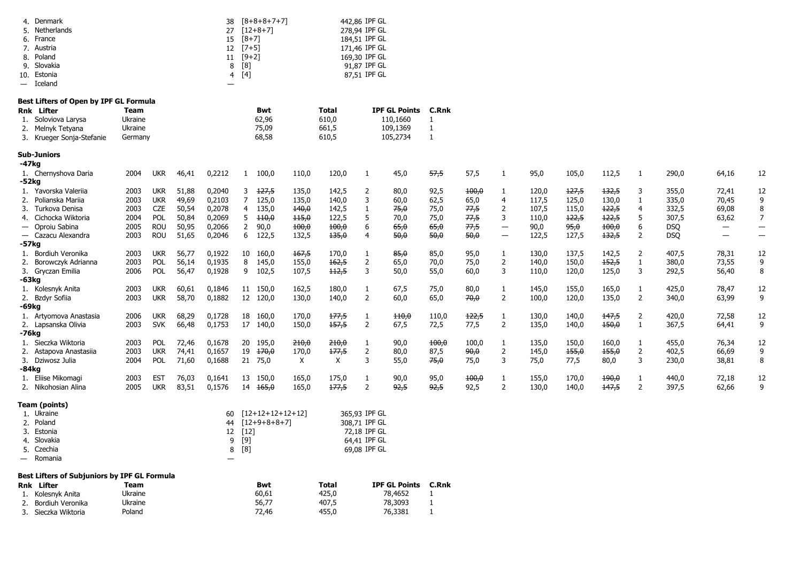| Denmark<br>4.<br>Netherlands<br>5.<br>France<br>6.<br>7. Austria<br>8. Poland<br>9. Slovakia<br>10. Estonia<br>Iceland<br>$\overline{\phantom{0}}$ |                    |                          |                | 38<br>27<br>15<br>12<br>11<br>8<br>4<br>— | $[8+8+8+7+7]$<br>$[12+8+7]$<br>$[8 + 7]$<br>$[7+5]$<br>$[9+2]$<br>[8]<br>[4] |                |                | 442,86 IPF GL<br>278,94 IPF GL<br>184,51 IPF GL<br>171,46 IPF GL<br>169,30 IPF GL<br>91,87 IPF GL<br>87,51 IPF GL |                            |                              |               |                               |                |                |                |                     |                     |                            |                                            |
|----------------------------------------------------------------------------------------------------------------------------------------------------|--------------------|--------------------------|----------------|-------------------------------------------|------------------------------------------------------------------------------|----------------|----------------|-------------------------------------------------------------------------------------------------------------------|----------------------------|------------------------------|---------------|-------------------------------|----------------|----------------|----------------|---------------------|---------------------|----------------------------|--------------------------------------------|
| Best Lifters of Open by IPF GL Formula                                                                                                             |                    |                          |                |                                           |                                                                              |                |                |                                                                                                                   |                            |                              |               |                               |                |                |                |                     |                     |                            |                                            |
| <b>Rnk Lifter</b>                                                                                                                                  | Team               |                          |                |                                           | Bwt                                                                          |                | Total          |                                                                                                                   | <b>IPF GL Points</b>       | C.Rnk                        |               |                               |                |                |                |                     |                     |                            |                                            |
| Soloviova Larysa<br>1.                                                                                                                             | Ukraine            |                          |                |                                           | 62,96                                                                        |                | 610,0          |                                                                                                                   | 110,1660                   | 1                            |               |                               |                |                |                |                     |                     |                            |                                            |
| 2.<br>Melnyk Tetyana<br>3.<br>Krueger Sonja-Stefanie                                                                                               | Ukraine<br>Germany |                          |                |                                           | 75,09<br>68,58                                                               |                | 661,5<br>610,5 |                                                                                                                   | 109,1369<br>105,2734       | $\mathbf{1}$<br>1            |               |                               |                |                |                |                     |                     |                            |                                            |
| <b>Sub-Juniors</b>                                                                                                                                 |                    |                          |                |                                           |                                                                              |                |                |                                                                                                                   |                            |                              |               |                               |                |                |                |                     |                     |                            |                                            |
| $-47kg$                                                                                                                                            |                    |                          |                |                                           |                                                                              |                |                |                                                                                                                   |                            |                              |               |                               |                |                |                |                     |                     |                            |                                            |
| 1. Chernyshova Daria<br>$-52kg$                                                                                                                    | 2004               | <b>UKR</b>               | 46,41          | 0,2212                                    | 100,0<br>$\mathbf{1}$                                                        | 110,0          | 120,0          | -1                                                                                                                | 45,0                       | 57,5                         | 57,5          | 1                             | 95,0           | 105,0          | 112,5          | 1                   | 290,0               | 64,16                      | 12                                         |
| 1. Yavorska Valerija                                                                                                                               | 2003               | <b>UKR</b>               | 51,88          | 0,2040                                    | <del>127,5</del><br>3                                                        | 135,0          | 142,5          | $\overline{2}$                                                                                                    | 80,0                       | 92,5                         | 100,0         | 1                             | 120,0          | 127,5          | 132,5          | 3                   | 355,0               | 72,41                      | 12                                         |
| Polianska Mariia<br>2.                                                                                                                             | 2003               | <b>UKR</b>               | 49,69          | 0,2103                                    | $\overline{7}$<br>125,0                                                      | 135,0          | 140,0          | 3                                                                                                                 | 60,0                       | 62,5                         | 65,0          | 4                             | 117,5          | 125,0          | 130,0          | $\mathbf{1}$        | 335,0               | 70,45                      | 9                                          |
| 3.<br>Turkova Denisa                                                                                                                               | 2003               | CZE<br>POL               | 50,54          | 0,2078                                    | 135,0<br>4                                                                   | 140,0          | 142,5          | -1                                                                                                                | 75,0                       | 75,0                         | 77,5          | 2                             | 107,5          | 115,0          | 122,5          | 4                   | 332,5               | 69,08                      | 8                                          |
| Cichocka Wiktoria<br>4.<br>- Oproiu Sabina                                                                                                         | 2004<br>2005       | <b>ROU</b>               | 50,84<br>50,95 | 0,2069<br>0,2066                          | 5<br>$+10,0$<br>90,0<br>$\mathbf{2}$                                         | 115,0<br>100,0 | 122,5<br>400,0 | 5<br>6                                                                                                            | 70,0<br>65,0               | 75,0<br>65,0                 | 77,5<br>77,5  | 3<br>$\overline{\phantom{m}}$ | 110,0<br>90,0  | 122,5<br>95,0  | 122,5<br>100,0 | 5<br>6              | 307,5<br><b>DSQ</b> | 63,62<br>$\qquad \qquad -$ | $\overline{7}$<br>$\overline{\phantom{0}}$ |
| - Cazacu Alexandra                                                                                                                                 | 2003               | <b>ROU</b>               | 51,65          | 0,2046                                    | 6<br>122,5                                                                   | 132,5          | 135,0          | $\overline{4}$                                                                                                    | 50,0                       | 50,0                         | 50,0          | $\overline{\phantom{m}}$      | 122,5          | 127,5          | 132,5          | $\overline{2}$      | <b>DSQ</b>          |                            |                                            |
| -57kg                                                                                                                                              |                    |                          |                |                                           |                                                                              |                |                |                                                                                                                   |                            |                              |               |                               |                |                |                |                     |                     |                            |                                            |
| 1. Bordiuh Veronika                                                                                                                                | 2003               | <b>UKR</b>               | 56,77          | 0,1922                                    | 10 160,0                                                                     | 167,5          | 170,0          | -1                                                                                                                | 85,0                       | 85,0                         | 95,0          | 1                             | 130,0          | 137,5          | 142,5          | $\overline{2}$      | 407,5               | 78,31                      | 12                                         |
| Borowczyk Adrianna<br>2.                                                                                                                           | 2003               | POL                      | 56,14          | 0,1935                                    | 8<br>145,0                                                                   | 155,0          | 162,5          | $\overline{2}$                                                                                                    | 65,0                       | 70,0                         | 75,0          | 2                             | 140,0          | 150,0          | 152,5          | $\mathbf{1}$        | 380,0               | 73,55                      | 9                                          |
| 3. Gryczan Emilia                                                                                                                                  | 2006               | POL                      | 56,47          | 0,1928                                    | 9<br>102,5                                                                   | 107,5          | $+12,5$        | 3                                                                                                                 | 50,0                       | 55,0                         | 60,0          | 3                             | 110,0          | 120,0          | 125,0          | 3                   | 292,5               | 56,40                      | 8                                          |
| -63kg                                                                                                                                              |                    |                          |                |                                           |                                                                              |                |                |                                                                                                                   |                            |                              |               |                               |                |                |                |                     |                     |                            |                                            |
| 1. Kolesnyk Anita                                                                                                                                  | 2003               | <b>UKR</b>               | 60,61          | 0,1846                                    | 11 150,0                                                                     | 162,5          | 180,0          | -1                                                                                                                | 67,5                       | 75,0                         | 80,0          | $\mathbf{1}$                  | 145,0          | 155,0          | 165,0          | 1                   | 425,0               | 78,47                      | 12                                         |
| 2. Bzdyr Sofiia                                                                                                                                    | 2003               | <b>UKR</b>               | 58,70          | 0,1882                                    | 12 120,0                                                                     | 130,0          | 140,0          | $\overline{2}$                                                                                                    | 60,0                       | 65,0                         | 70,0          | 2                             | 100,0          | 120,0          | 135,0          | $\overline{2}$      | 340,0               | 63,99                      | 9                                          |
| -69kg<br>1. Artyomova Anastasia                                                                                                                    | 2006               | <b>UKR</b>               | 68,29          | 0,1728                                    | 18 160,0                                                                     | 170,0          | 177,5          | -1                                                                                                                | 440,0                      | 110,0                        | 122,5         | 1                             | 130,0          | 140,0          | 147,5          | 2                   | 420,0               | 72,58                      | 12                                         |
| 2. Lapsanska Olivia                                                                                                                                | 2003               | <b>SVK</b>               | 66,48          | 0,1753                                    | 17 140,0                                                                     | 150,0          | 157,5          | $\overline{2}$                                                                                                    | 67,5                       | 72,5                         | 77,5          | $\overline{2}$                | 135,0          | 140,0          | 150,0          | $\mathbf{1}$        | 367,5               | 64,41                      | 9                                          |
| -76kg                                                                                                                                              |                    |                          |                |                                           |                                                                              |                |                |                                                                                                                   |                            |                              |               |                               |                |                |                |                     |                     |                            |                                            |
| 1. Sieczka Wiktoria                                                                                                                                | 2003               | POL                      | 72,46          | 0,1678                                    | 20 195,0                                                                     | 210,0          | 210,0          | -1                                                                                                                | 90,0                       | 400,0                        | 100,0         | $\mathbf{1}$                  | 135,0          | 150,0          | 160,0          | $\mathbf{1}$        | 455,0               | 76,34                      | 12                                         |
| Astapova Anastasiia<br>2.                                                                                                                          | 2003               | <b>UKR</b>               | 74,41          | 0,1657                                    | 19 <del>170,0</del>                                                          | 170,0          | 177,5          | $\overline{2}$                                                                                                    | 80,0                       | 87,5                         | 90,0          | 2                             | 145,0          | 455,0          | 155,0          | 2                   | 402,5               | 66,69                      | 9                                          |
| 3. Dziwosz Julia                                                                                                                                   | 2004               | POL                      | 71,60          | 0,1688                                    | 21 75,0                                                                      | X              | X              | 3                                                                                                                 | 55,0                       | 75,0                         | 75,0          | 3                             | 75,0           | 77,5           | 80,0           | 3                   | 230,0               | 38,81                      | 8                                          |
| -84kg                                                                                                                                              |                    |                          |                |                                           |                                                                              |                |                |                                                                                                                   |                            |                              |               |                               |                |                |                |                     |                     |                            |                                            |
| 1. Eliise Mikomagi<br>2. Nikohosian Alina                                                                                                          | 2003<br>2005       | <b>EST</b><br><b>UKR</b> | 76,03<br>83,51 | 0,1641<br>0,1576                          | 13 150,0<br>14 165,0                                                         | 165,0<br>165,0 | 175,0<br>177,5 | 1<br>2                                                                                                            | 90,0<br>92,5               | 95,0<br>92,5                 | 100,0<br>92,5 | 1<br>2                        | 155,0<br>130,0 | 170,0<br>140,0 | 190,0<br>147,5 | 1<br>$\overline{2}$ | 440,0<br>397,5      | 72,18<br>62,66             | 12<br>9                                    |
| Team (points)                                                                                                                                      |                    |                          |                |                                           |                                                                              |                |                |                                                                                                                   |                            |                              |               |                               |                |                |                |                     |                     |                            |                                            |
| 1. Ukraine                                                                                                                                         |                    |                          |                | 60                                        | $[12+12+12+12+12]$                                                           |                |                | 365,93 IPF GL                                                                                                     |                            |                              |               |                               |                |                |                |                     |                     |                            |                                            |
| 2. Poland                                                                                                                                          |                    |                          |                | 44                                        | $[12+9+8+8+7]$                                                               |                |                | 308,71 IPF GL                                                                                                     |                            |                              |               |                               |                |                |                |                     |                     |                            |                                            |
| 3. Estonia<br>4. Slovakia                                                                                                                          |                    |                          |                | 12                                        | $[12]$                                                                       |                |                | 72,18 IPF GL<br>64,41 IPF GL                                                                                      |                            |                              |               |                               |                |                |                |                     |                     |                            |                                            |
| 5. Czechia                                                                                                                                         |                    |                          |                | 9                                         | $[9]$<br>8 [8]                                                               |                |                | 69,08 IPF GL                                                                                                      |                            |                              |               |                               |                |                |                |                     |                     |                            |                                            |
| Romania                                                                                                                                            |                    |                          |                | —                                         |                                                                              |                |                |                                                                                                                   |                            |                              |               |                               |                |                |                |                     |                     |                            |                                            |
| <b>Best Lifters of Subjuniors by IPF GL Formula</b>                                                                                                |                    |                          |                |                                           |                                                                              |                |                |                                                                                                                   |                            |                              |               |                               |                |                |                |                     |                     |                            |                                            |
| <b>Rnk</b> Lifter                                                                                                                                  | Team               |                          |                |                                           | Bwt                                                                          |                | Total          |                                                                                                                   | <b>IPF GL Points C.Rnk</b> |                              |               |                               |                |                |                |                     |                     |                            |                                            |
| 1. Kolesnyk Anita                                                                                                                                  | Ukraine            |                          |                |                                           | 60,61                                                                        |                | 425,0          |                                                                                                                   | 78,4652                    | 1                            |               |                               |                |                |                |                     |                     |                            |                                            |
| 2. Bordiuh Veronika<br>3. Sieczka Wiktoria                                                                                                         | Ukraine<br>Poland  |                          |                |                                           | 56,77<br>72,46                                                               |                | 407,5          |                                                                                                                   | 78,3093<br>76,3381         | $\mathbf{1}$<br>$\mathbf{1}$ |               |                               |                |                |                |                     |                     |                            |                                            |
|                                                                                                                                                    |                    |                          |                |                                           |                                                                              |                | 455,0          |                                                                                                                   |                            |                              |               |                               |                |                |                |                     |                     |                            |                                            |